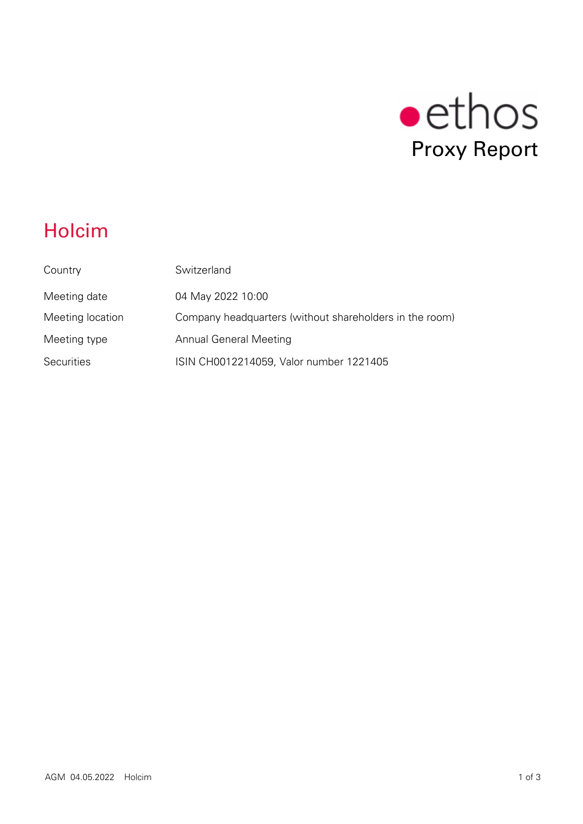

# Holcim

| Country           | Switzerland                                             |
|-------------------|---------------------------------------------------------|
| Meeting date      | 04 May 2022 10:00                                       |
| Meeting location  | Company headquarters (without shareholders in the room) |
| Meeting type      | <b>Annual General Meeting</b>                           |
| <b>Securities</b> | ISIN CH0012214059, Valor number 1221405                 |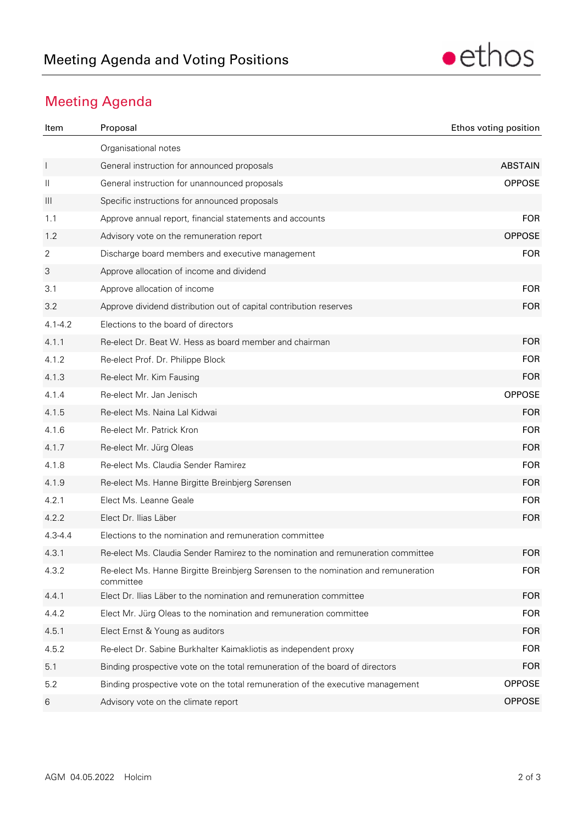

## Meeting Agenda

| Item           | Proposal                                                                                        | Ethos voting position |
|----------------|-------------------------------------------------------------------------------------------------|-----------------------|
|                | Organisational notes                                                                            |                       |
| $\mathbf{I}$   | General instruction for announced proposals                                                     | <b>ABSTAIN</b>        |
| $\mathbf{  }$  | General instruction for unannounced proposals                                                   | <b>OPPOSE</b>         |
| $\mathbf{III}$ | Specific instructions for announced proposals                                                   |                       |
| 1.1            | Approve annual report, financial statements and accounts                                        | <b>FOR</b>            |
| 1.2            | Advisory vote on the remuneration report                                                        | <b>OPPOSE</b>         |
| 2              | Discharge board members and executive management                                                | <b>FOR</b>            |
| 3              | Approve allocation of income and dividend                                                       |                       |
| 3.1            | Approve allocation of income                                                                    | <b>FOR</b>            |
| 3.2            | Approve dividend distribution out of capital contribution reserves                              | <b>FOR</b>            |
| $4.1 - 4.2$    | Elections to the board of directors                                                             |                       |
| 4.1.1          | Re-elect Dr. Beat W. Hess as board member and chairman                                          | <b>FOR</b>            |
| 4.1.2          | Re-elect Prof. Dr. Philippe Block                                                               | <b>FOR</b>            |
| 4.1.3          | Re-elect Mr. Kim Fausing                                                                        | <b>FOR</b>            |
| 4.1.4          | Re-elect Mr. Jan Jenisch                                                                        | <b>OPPOSE</b>         |
| 4.1.5          | Re-elect Ms. Naina Lal Kidwai                                                                   | <b>FOR</b>            |
| 4.1.6          | Re-elect Mr. Patrick Kron                                                                       | <b>FOR</b>            |
| 4.1.7          | Re-elect Mr. Jürg Oleas                                                                         | <b>FOR</b>            |
| 4.1.8          | Re-elect Ms. Claudia Sender Ramirez                                                             | <b>FOR</b>            |
| 4.1.9          | Re-elect Ms. Hanne Birgitte Breinbjerg Sørensen                                                 | <b>FOR</b>            |
| 4.2.1          | Elect Ms. Leanne Geale                                                                          | <b>FOR</b>            |
| 4.2.2          | Elect Dr. Ilias Läber                                                                           | <b>FOR</b>            |
| $4.3 - 4.4$    | Elections to the nomination and remuneration committee                                          |                       |
| 4.3.1          | Re-elect Ms. Claudia Sender Ramirez to the nomination and remuneration committee                | <b>FOR</b>            |
| 432            | Re-elect Ms. Hanne Birgitte Breinbjerg Sørensen to the nomination and remuneration<br>committee | <b>FOR</b>            |
| 4.4.1          | Elect Dr. Ilias Läber to the nomination and remuneration committee                              | <b>FOR</b>            |
| 4.4.2          | Elect Mr. Jürg Oleas to the nomination and remuneration committee                               | <b>FOR</b>            |
| 4.5.1          | Elect Ernst & Young as auditors                                                                 | <b>FOR</b>            |
| 4.5.2          | Re-elect Dr. Sabine Burkhalter Kaimakliotis as independent proxy                                | <b>FOR</b>            |
| 5.1            | Binding prospective vote on the total remuneration of the board of directors                    | <b>FOR</b>            |
| 5.2            | Binding prospective vote on the total remuneration of the executive management                  | <b>OPPOSE</b>         |
| 6              | Advisory vote on the climate report                                                             | <b>OPPOSE</b>         |